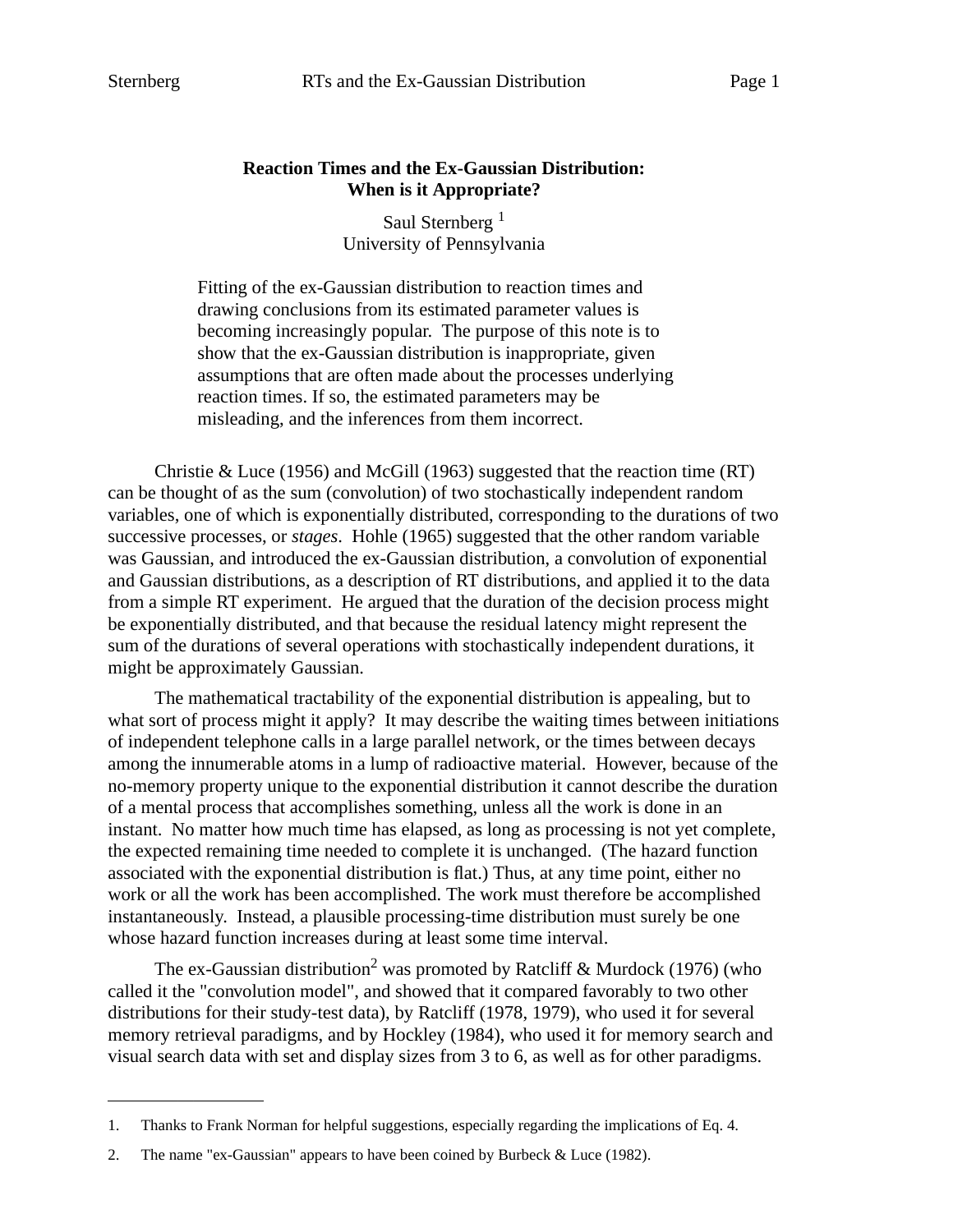## **Reaction Times and the Ex-Gaussian Distribution: When is it Appropriate?**

Saul Sternberg<sup>1</sup> University of Pennsylvania

Fitting of the ex-Gaussian distribution to reaction times and drawing conclusions from its estimated parameter values is becoming increasingly popular. The purpose of this note is to show that the ex-Gaussian distribution is inappropriate, given assumptions that are often made about the processes underlying reaction times. If so, the estimated parameters may be misleading, and the inferences from them incorrect.

Christie & Luce (1956) and McGill (1963) suggested that the reaction time (RT) can be thought of as the sum (convolution) of two stochastically independent random variables, one of which is exponentially distributed, corresponding to the durations of two successive processes, or *stages*. Hohle (1965) suggested that the other random variable was Gaussian, and introduced the ex-Gaussian distribution, a convolution of exponential and Gaussian distributions, as a description of RT distributions, and applied it to the data from a simple RT experiment. He argued that the duration of the decision process might be exponentially distributed, and that because the residual latency might represent the sum of the durations of several operations with stochastically independent durations, it might be approximately Gaussian.

The mathematical tractability of the exponential distribution is appealing, but to what sort of process might it apply? It may describe the waiting times between initiations of independent telephone calls in a large parallel network, or the times between decays among the innumerable atoms in a lump of radioactive material. However, because of the no-memory property unique to the exponential distribution it cannot describe the duration of a mental process that accomplishes something, unless all the work is done in an instant. No matter how much time has elapsed, as long as processing is not yet complete, the expected remaining time needed to complete it is unchanged. (The hazard function associated with the exponential distribution is flat.) Thus, at any time point, either no work or all the work has been accomplished. The work must therefore be accomplished instantaneously. Instead, a plausible processing-time distribution must surely be one whose hazard function increases during at least some time interval.

The ex-Gaussian distribution<sup>2</sup> was promoted by Ratcliff & Murdock (1976) (who called it the "convolution model", and showed that it compared favorably to two other distributions for their study-test data), by Ratcliff (1978, 1979), who used it for several memory retrieval paradigms, and by Hockley (1984), who used it for memory search and visual search data with set and display sizes from 3 to 6, as well as for other paradigms.

<sup>1.</sup> Thanks to Frank Norman for helpful suggestions, especially regarding the implications of Eq. 4.

<sup>2.</sup> The name "ex-Gaussian" appears to have been coined by Burbeck & Luce (1982).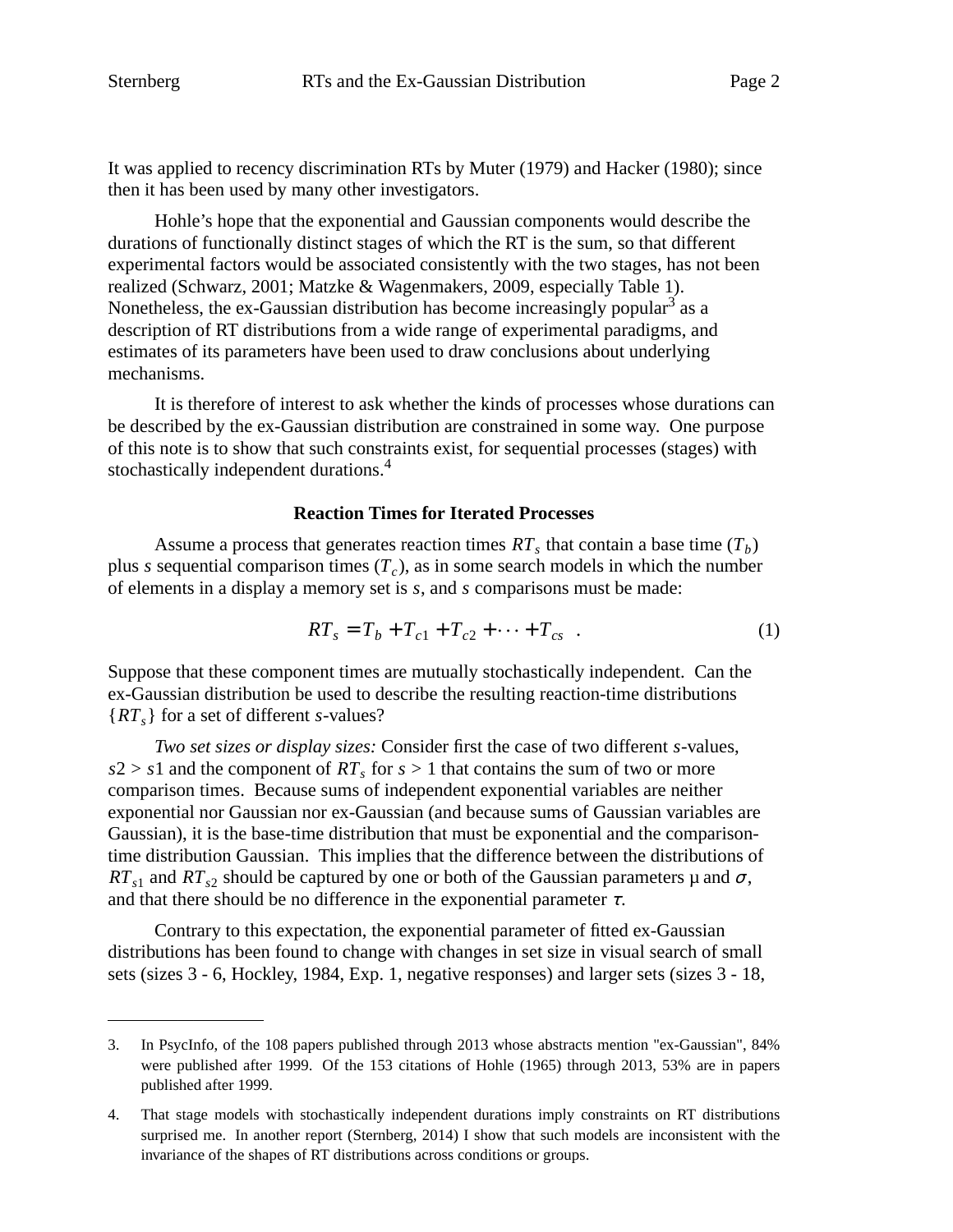It was applied to recency discrimination RTs by Muter (1979) and Hacker (1980); since then it has been used by many other investigators.

Hohle's hope that the exponential and Gaussian components would describe the durations of functionally distinct stages of which the RT is the sum, so that different experimental factors would be associated consistently with the two stages, has not been realized (Schwarz, 2001; Matzke&Wagenmakers, 2009, especially Table 1). Nonetheless, the ex-Gaussian distribution has become increasingly popular<sup>3</sup> as a description of RT distributions from a wide range of experimental paradigms, and estimates of its parameters have been used to draw conclusions about underlying mechanisms.

It is therefore of interest to ask whether the kinds of processes whose durations can be described by the ex-Gaussian distribution are constrained in some way. One purpose of this note is to show that such constraints exist, for sequential processes (stages) with stochastically independent durations.<sup>4</sup>

### **Reaction Times for Iterated Processes**

Assume a process that generates reaction times  $RT_s$  that contain a base time  $(T_b)$ plus *s* sequential comparison times (*T<sup>c</sup>* ), as in some search models in which the number of elements in a display a memory set is *s*, and *s* comparisons must be made:

$$
RT_s = T_b + T_{c1} + T_{c2} + \dots + T_{cs} \quad . \tag{1}
$$

Suppose that these component times are mutually stochastically independent. Can the ex-Gaussian distribution be used to describe the resulting reaction-time distributions {*RTs*} for a set of different *s*-values?

*Two set sizes or display sizes:* Consider first the case of two different *s*-values,  $s2 > s1$  and the component of  $RT_s$  for  $s > 1$  that contains the sum of two or more comparison times. Because sums of independent exponential variables are neither exponential nor Gaussian nor ex-Gaussian (and because sums of Gaussian variables are Gaussian), it is the base-time distribution that must be exponential and the comparisontime distribution Gaussian. This implies that the difference between the distributions of  $RT_{s1}$  and  $RT_{s2}$  should be captured by one or both of the Gaussian parameters  $\mu$  and  $\sigma$ , and that there should be no difference in the exponential parameter  $\tau$ .

Contrary to this expectation, the exponential parameter of fitted ex-Gaussian distributions has been found to change with changes in set size in visual search of small sets (sizes 3 - 6, Hockley, 1984, Exp. 1, negative responses) and larger sets (sizes 3 - 18,

<sup>3.</sup> In PsycInfo, of the 108 papers published through 2013 whose abstracts mention "ex-Gaussian", 84% were published after 1999. Of the 153 citations of Hohle (1965) through 2013, 53% are in papers published after 1999.

<sup>4.</sup> That stage models with stochastically independent durations imply constraints on RT distributions surprised me. In another report (Sternberg, 2014) I show that such models are inconsistent with the invariance of the shapes of RT distributions across conditions or groups.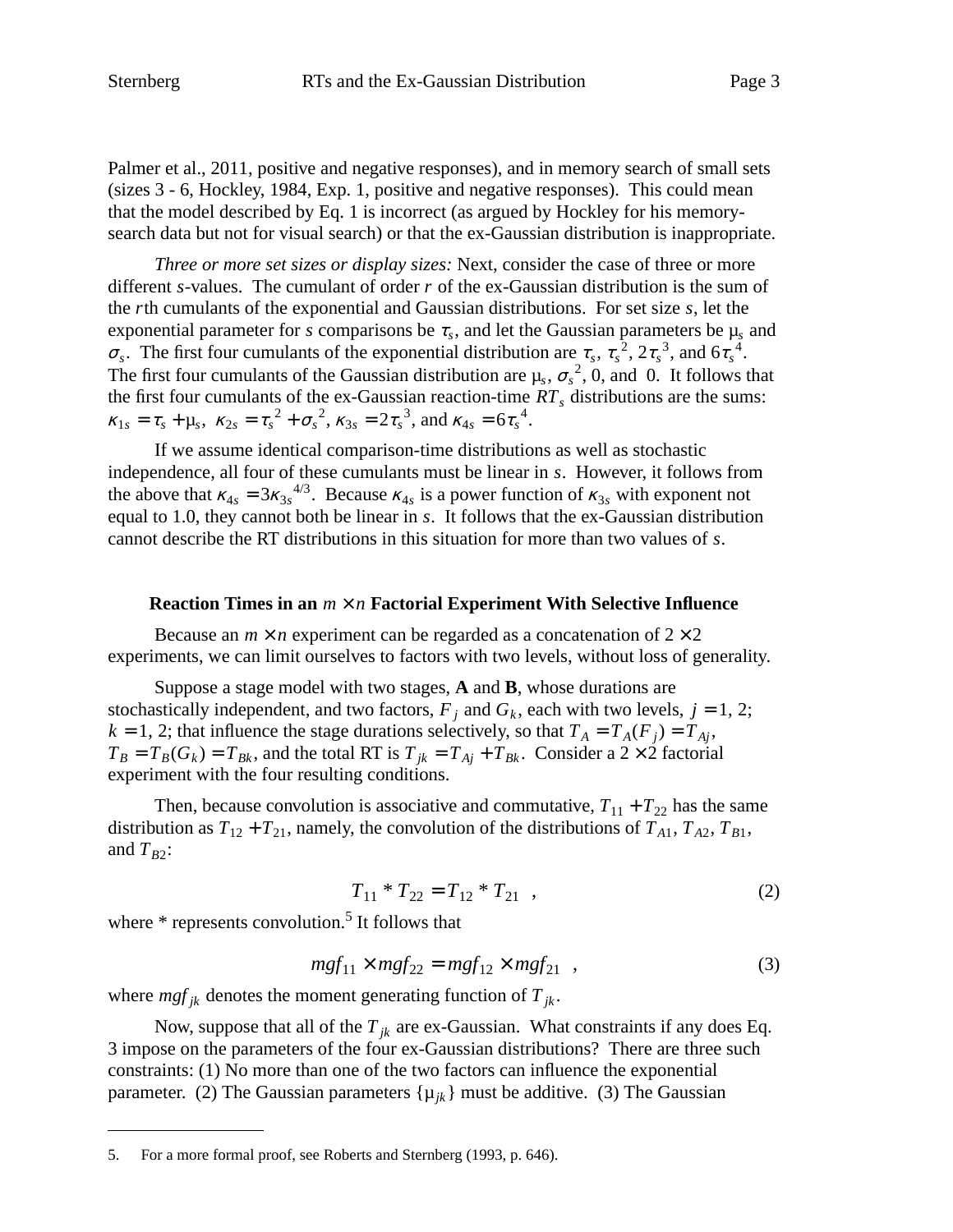Palmer et al., 2011, positive and negative responses), and in memory search of small sets (sizes 3 - 6, Hockley, 1984, Exp. 1, positive and negative responses). This could mean that the model described by Eq. 1 is incorrect (as argued by Hockley for his memorysearch data but not for visual search) or that the ex-Gaussian distribution is inappropriate.

*Three or more set sizes or display sizes:* Next, consider the case of three or more different *s*-values. The cumulant of order *r* of the ex-Gaussian distribution is the sum of the *r*th cumulants of the exponential and Gaussian distributions. For set size *s*, let the exponential parameter for *s* comparisons be  $\tau_s$ , and let the Gaussian parameters be  $\mu_s$  and  $\sigma_s$ . The first four cumulants of the exponential distribution are  $\tau_s$ ,  $\tau_s^2$ ,  $2\tau_s^3$ , and  $6\tau_s^4$ . The first four cumulants of the Gaussian distribution are  $\mu_s$ ,  $\sigma_s^2$ , 0, and 0. It follows that the first four cumulants of the ex-Gaussian reaction-time *RT<sup>s</sup>* distributions are the sums:  $\kappa_{1s} = \tau_s + \mu_s$ ,  $\kappa_{2s} = \tau_s^2 + \sigma_s^2$ ,  $\kappa_{3s} = 2\tau_s^3$ , and  $\kappa_{4s} = 6\tau_s^4$ .

If we assume identical comparison-time distributions as well as stochastic independence, all four of these cumulants must be linear in *s*. However, it follows from the above that  $\kappa_{4s} = 3\kappa_{3s}^{4/3}$ . Because  $\kappa_{4s}$  is a power function of  $\kappa_{3s}$  with exponent not equal to 1.0, they cannot both be linear in *s*. It follows that the ex-Gaussian distribution cannot describe the RT distributions in this situation for more than two values of *s*.

#### **Reaction Times in an** *m* × *n* **Factorial Experiment With Selective Influence**

Because an  $m \times n$  experiment can be regarded as a concatenation of  $2 \times 2$ experiments, we can limit ourselves to factors with two levels, without loss of generality.

Suppose a stage model with two stages, **A** and **B**, whose durations are stochastically independent, and two factors,  $F_j$  and  $G_k$ , each with two levels,  $j = 1, 2$ ;  $k = 1, 2$ ; that influence the stage durations selectively, so that  $T_A = T_A(F_j) = T_{Aj}$ ,  $T_B = T_B(G_k) = T_{B_k}$ , and the total RT is  $T_{jk} = T_{Aj} + T_{B_k}$ . Consider a 2 × 2 factorial experiment with the four resulting conditions.

Then, because convolution is associative and commutative,  $T_{11} + T_{22}$  has the same distribution as  $T_{12} + T_{21}$ , namely, the convolution of the distributions of  $T_{A1}$ ,  $T_{A2}$ ,  $T_{B1}$ , and  $T_{B2}$ :

$$
T_{11} * T_{22} = T_{12} * T_{21} , \t\t(2)
$$

where  $*$  represents convolution.<sup>5</sup> It follows that

$$
mgf_{11} \times mgf_{22} = mgf_{12} \times mgf_{21} , \qquad (3)
$$

where  $mgf_{jk}$  denotes the moment generating function of  $T_{jk}$ .

Now, suppose that all of the  $T_{ik}$  are ex-Gaussian. What constraints if any does Eq. 3 impose on the parameters of the four ex-Gaussian distributions? There are three such constraints: (1) No more than one of the two factors can influence the exponential parameter. (2) The Gaussian parameters  $\{\mu_{ik}\}\$  must be additive. (3) The Gaussian

<sup>5.</sup> For a more formal proof, see Roberts and Sternberg (1993, p. 646).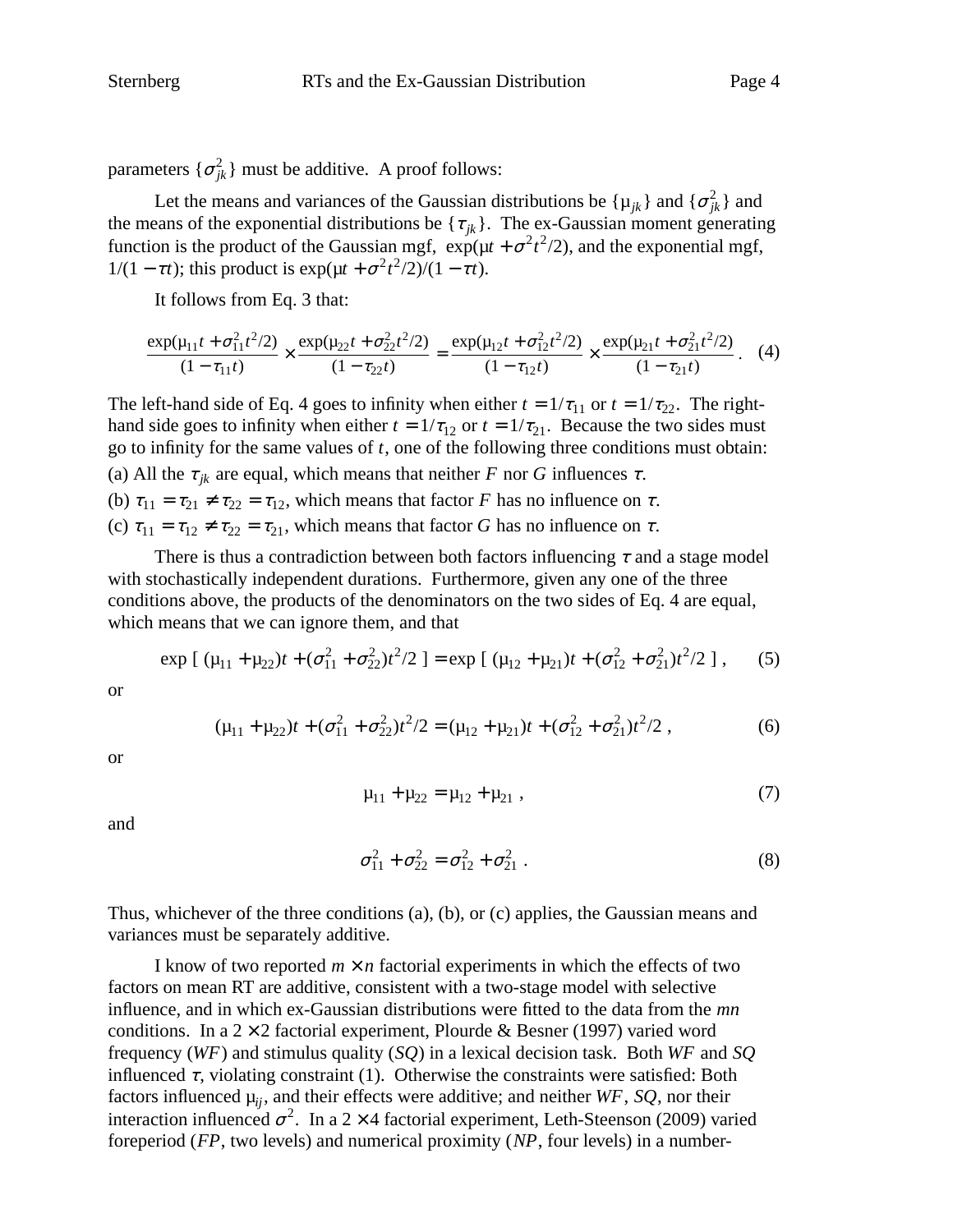parameters  $\{\sigma_{jk}^2\}$  must be additive. A proof follows:

Let the means and variances of the Gaussian distributions be  $\{\mu_{jk}\}\$  and  $\{\sigma_{jk}^2\}$  and the means of the exponential distributions be  $\{\tau_{jk}\}\$ . The ex-Gaussian moment generating function is the product of the Gaussian mgf,  $\exp(\mu t + \sigma^2 t^2/2)$ , and the exponential mgf,  $1/(1 - \tau t)$ ; this product is  $\exp(\mu t + \sigma^2 t^2/2)/(1 - \tau t)$ .

It follows from Eq. 3 that:

$$
\frac{\exp(\mu_{11}t + \sigma_{11}^2 t^2/2)}{(1 - \tau_{11}t)} \times \frac{\exp(\mu_{22}t + \sigma_{22}^2 t^2/2)}{(1 - \tau_{22}t)} = \frac{\exp(\mu_{12}t + \sigma_{12}^2 t^2/2)}{(1 - \tau_{12}t)} \times \frac{\exp(\mu_{21}t + \sigma_{21}^2 t^2/2)}{(1 - \tau_{21}t)}.
$$
 (4)

The left-hand side of Eq. 4 goes to infinity when either  $t = 1/\tau_{11}$  or  $t = 1/\tau_{22}$ . The righthand side goes to infinity when either  $t = 1/\tau_{12}$  or  $t = 1/\tau_{21}$ . Because the two sides must go to infinity for the same values of *t*, one of the following three conditions must obtain: (a) All the  $\tau_{ik}$  are equal, which means that neither *F* nor *G* influences  $\tau$ . (b)  $\tau_{11} = \tau_{21} \neq \tau_{22} = \tau_{12}$ , which means that factor *F* has no influence on  $\tau$ . (c)  $\tau_{11} = \tau_{12} \neq \tau_{22} = \tau_{21}$ , which means that factor *G* has no influence on  $\tau$ .

There is thus a contradiction between both factors influencing  $\tau$  and a stage model with stochastically independent durations. Furthermore, given any one of the three conditions above, the products of the denominators on the two sides of Eq. 4 are equal, which means that we can ignore them, and that

$$
\exp\left[\left(\mu_{11}+\mu_{22}\right)t + (\sigma_{11}^2+\sigma_{22}^2)t^2/2\right] = \exp\left[\left(\mu_{12}+\mu_{21}\right)t + (\sigma_{12}^2+\sigma_{21}^2)t^2/2\right],\tag{5}
$$

or

$$
(\mu_{11} + \mu_{22})t + (\sigma_{11}^2 + \sigma_{22}^2)t^2/2 = (\mu_{12} + \mu_{21})t + (\sigma_{12}^2 + \sigma_{21}^2)t^2/2,
$$
 (6)

or

$$
\mu_{11} + \mu_{22} = \mu_{12} + \mu_{21} \tag{7}
$$

and

$$
\sigma_{11}^2 + \sigma_{22}^2 = \sigma_{12}^2 + \sigma_{21}^2 \tag{8}
$$

Thus, whichever of the three conditions (a), (b), or (c) applies, the Gaussian means and variances must be separately additive.

I know of two reported  $m \times n$  factorial experiments in which the effects of two factors on mean RT are additive, consistent with a two-stage model with selective influence, and in which ex-Gaussian distributions were fitted to the data from the *mn* conditions. In a  $2 \times 2$  factorial experiment, Plourde & Besner (1997) varied word frequency (*WF*) and stimulus quality (*SQ*) in a lexical decision task. Both *WF* and *SQ* influenced  $\tau$ , violating constraint (1). Otherwise the constraints were satisfied: Both factors influenced  $\mu_{ii}$ , and their effects were additive; and neither *WF*, *SQ*, nor their interaction influenced  $\sigma^2$ . In a 2 × 4 factorial experiment, Leth-Steenson (2009) varied foreperiod (*FP*, two levels) and numerical proximity (*NP*, four levels) in a number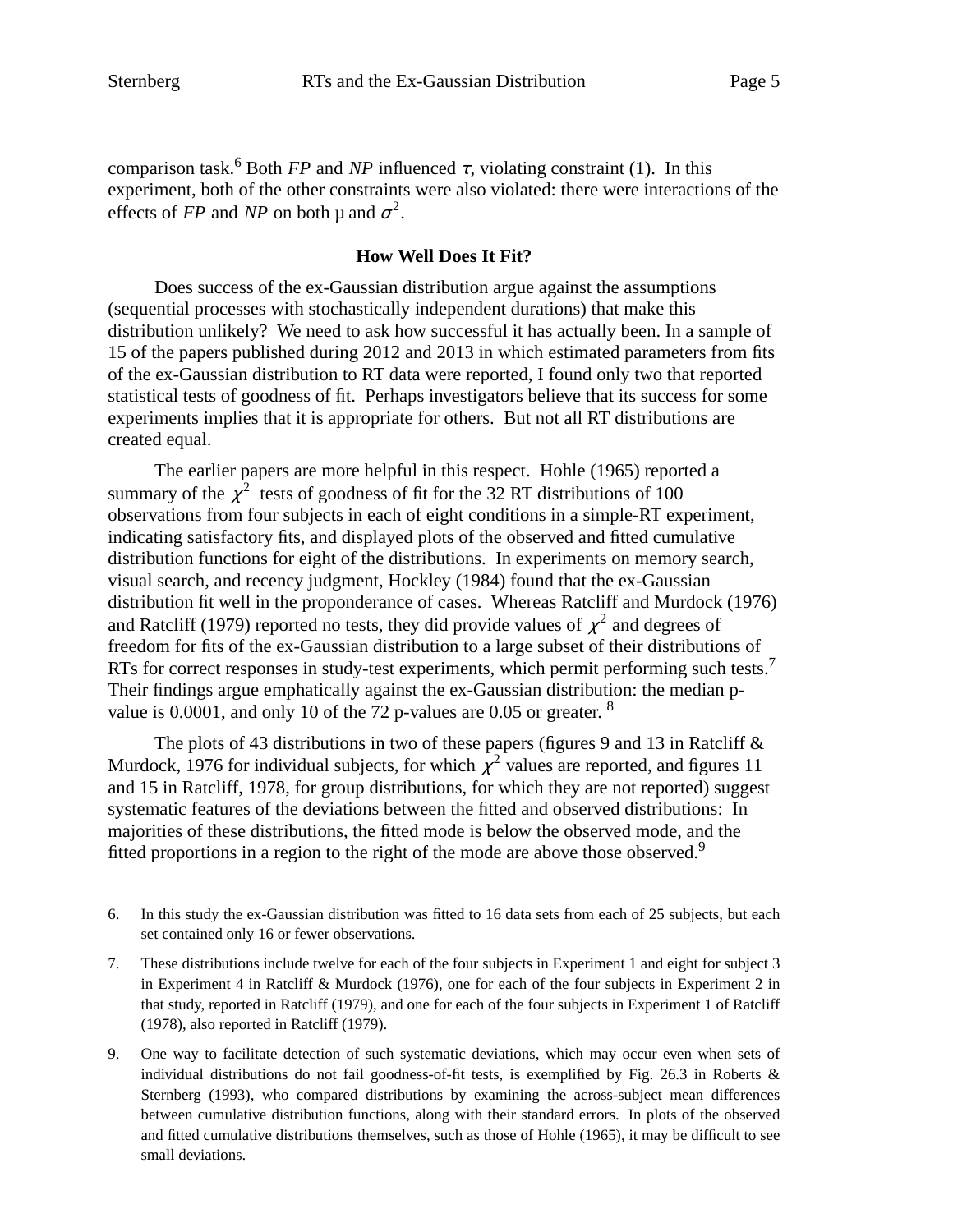comparison task.<sup>6</sup> Both *FP* and *NP* influenced  $\tau$ , violating constraint (1). In this experiment, both of the other constraints were also violated: there were interactions of the effects of *FP* and *NP* on both  $\mu$  and  $\sigma^2$ .

# **How Well Does It Fit?**

Does success of the ex-Gaussian distribution argue against the assumptions (sequential processes with stochastically independent durations) that make this distribution unlikely? We need to ask how successful it has actually been. In a sample of 15 of the papers published during 2012 and 2013 in which estimated parameters from fits of the ex-Gaussian distribution to RT data were reported, I found only two that reported statistical tests of goodness of fit. Perhaps investigators believe that its success for some experiments implies that it is appropriate for others. But not all RT distributions are created equal.

The earlier papers are more helpful in this respect. Hohle (1965) reported a summary of the  $\chi^2$  tests of goodness of fit for the 32 RT distributions of 100 observations from four subjects in each of eight conditions in a simple-RT experiment, indicating satisfactory fits, and displayed plots of the observed and fitted cumulative distribution functions for eight of the distributions. In experiments on memory search, visual search, and recency judgment, Hockley (1984) found that the ex-Gaussian distribution fit well in the proponderance of cases. Whereas Ratcliff and Murdock (1976) and Ratcliff (1979) reported no tests, they did provide values of  $\chi^2$  and degrees of freedom for fits of the ex-Gaussian distribution to a large subset of their distributions of RTs for correct responses in study-test experiments, which permit performing such tests.<sup>7</sup> Their findings argue emphatically against the ex-Gaussian distribution: the median pvalue is 0.0001, and only 10 of the 72 p-values are 0.05 or greater.  $8$ 

The plots of 43 distributions in two of these papers (figures 9 and 13 in Ratcliff  $\&$ Murdock, 1976 for individual subjects, for which  $\chi^2$  values are reported, and figures 11 and 15 in Ratcliff, 1978, for group distributions, for which they are not reported) suggest systematic features of the deviations between the fitted and observed distributions: In majorities of these distributions, the fitted mode is below the observed mode, and the fitted proportions in a region to the right of the mode are above those observed.<sup>9</sup>

<sup>6.</sup> In this study the ex-Gaussian distribution was fitted to 16 data sets from each of 25 subjects, but each set contained only 16 or fewer observations.

<sup>7.</sup> These distributions include twelve for each of the four subjects in Experiment 1 and eight for subject 3 in Experiment 4 in Ratcliff & Murdock (1976), one for each of the four subjects in Experiment 2 in that study, reported in Ratcliff (1979), and one for each of the four subjects in Experiment 1 of Ratcliff (1978), also reported in Ratcliff (1979).

<sup>9.</sup> One way to facilitate detection of such systematic deviations, which may occur even when sets of individual distributions do not fail goodness-of-fit tests, is exemplified by Fig. 26.3 in Roberts & Sternberg (1993), who compared distributions by examining the across-subject mean differences between cumulative distribution functions, along with their standard errors. In plots of the observed and fitted cumulative distributions themselves, such as those of Hohle (1965), it may be difficult to see small deviations.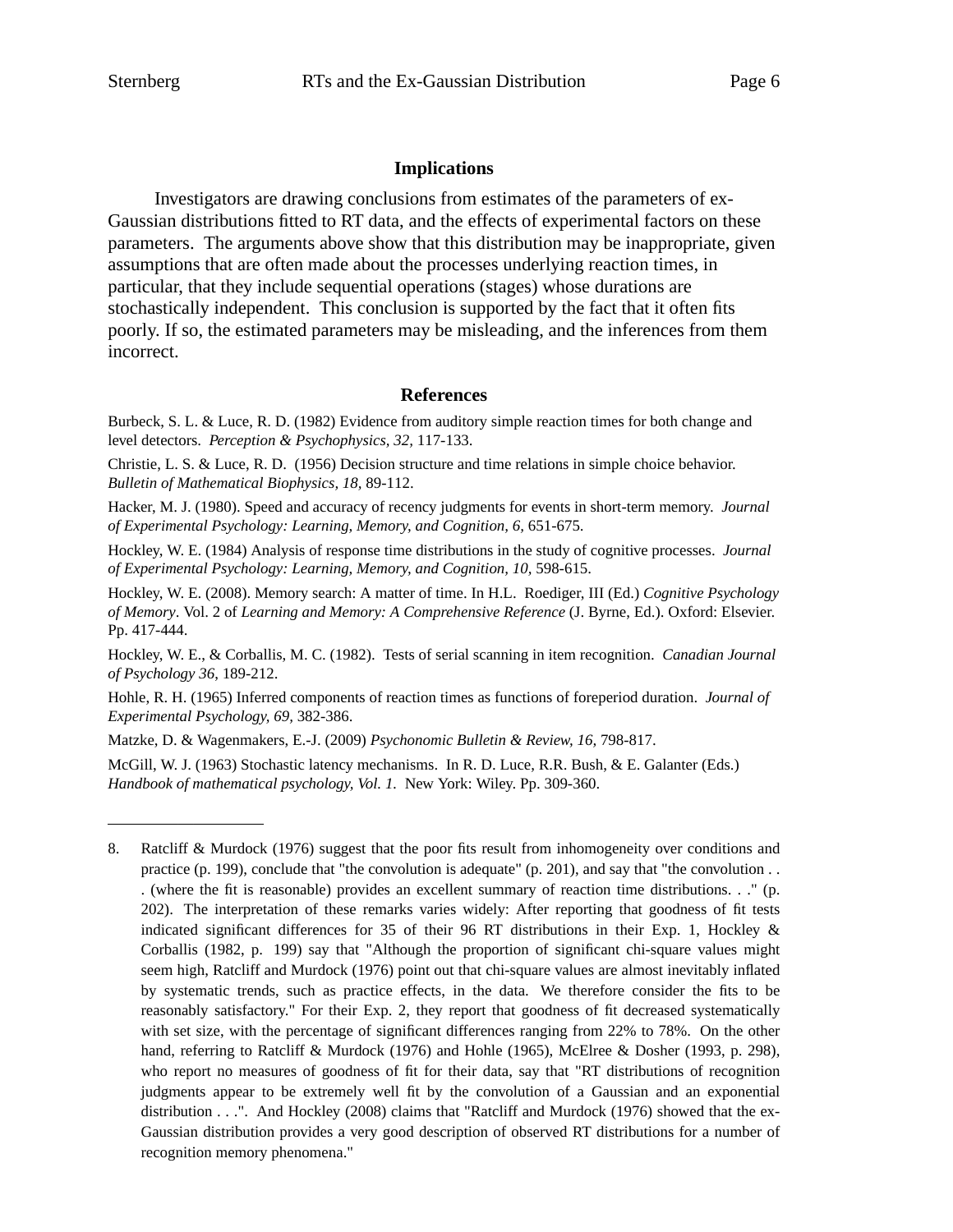### **Implications**

Investigators are drawing conclusions from estimates of the parameters of ex-Gaussian distributions fitted to RT data, and the effects of experimental factors on these parameters. The arguments above show that this distribution may be inappropriate, given assumptions that are often made about the processes underlying reaction times, in particular, that they include sequential operations (stages) whose durations are stochastically independent. This conclusion is supported by the fact that it often fits poorly. If so, the estimated parameters may be misleading, and the inferences from them incorrect.

#### **References**

Burbeck, S. L. & Luce, R. D. (1982) Evidence from auditory simple reaction times for both change and level detectors. *Perception & Psychophysics, 32,* 117-133.

Christie, L. S. & Luce, R. D. (1956) Decision structure and time relations in simple choice behavior. *Bulletin of Mathematical Biophysics, 18,* 89-112.

Hacker, M. J. (1980). Speed and accuracy of recency judgments for events in short-term memory. *Journal of Experimental Psychology: Learning, Memory, and Cognition, 6,* 651-675.

Hockley, W. E. (1984) Analysis of response time distributions in the study of cognitive processes. *Journal of Experimental Psychology: Learning, Memory, and Cognition, 10,* 598-615.

Hockley, W. E. (2008). Memory search: A matter of time. In H.L. Roediger, III (Ed.) *Cognitive Psychology of Memory*. Vol. 2 of *Learning and Memory: A Comprehensive Reference* (J. Byrne, Ed.). Oxford: Elsevier. Pp. 417-444.

Hockley, W. E., & Corballis, M. C. (1982). Tests of serial scanning in item recognition. *Canadian Journal of Psychology 36*, 189-212.

Hohle, R. H. (1965) Inferred components of reaction times as functions of foreperiod duration. *Journal of Experimental Psychology, 69,* 382-386.

Matzke, D. & Wagenmakers, E.-J. (2009) *Psychonomic Bulletin & Review, 16,* 798-817.

McGill, W. J. (1963) Stochastic latency mechanisms. In R. D. Luce, R.R. Bush, & E. Galanter (Eds.) *Handbook of mathematical psychology, Vol. 1.* New York: Wiley. Pp. 309-360.

<sup>8.</sup> Ratcliff & Murdock (1976) suggest that the poor fits result from inhomogeneity over conditions and practice (p. 199), conclude that "the convolution is adequate" (p. 201), and say that "the convolution . . . (where the fit is reasonable) provides an excellent summary of reaction time distributions. . ." (p. 202). The interpretation of these remarks varies widely: After reporting that goodness of fit tests indicated significant differences for 35 of their 96 RT distributions in their Exp. 1, Hockley & Corballis (1982, p. 199) say that "Although the proportion of significant chi-square values might seem high, Ratcliff and Murdock (1976) point out that chi-square values are almost inevitably inflated by systematic trends, such as practice effects, in the data. We therefore consider the fits to be reasonably satisfactory." For their Exp. 2, they report that goodness of fit decreased systematically with set size, with the percentage of significant differences ranging from 22% to 78%. On the other hand, referring to Ratcliff & Murdock (1976) and Hohle (1965), McElree & Dosher (1993, p. 298), who report no measures of goodness of fit for their data, say that "RT distributions of recognition judgments appear to be extremely well fit by the convolution of a Gaussian and an exponential distribution . . .". And Hockley (2008) claims that "Ratcliff and Murdock (1976) showed that the ex-Gaussian distribution provides a very good description of observed RT distributions for a number of recognition memory phenomena."